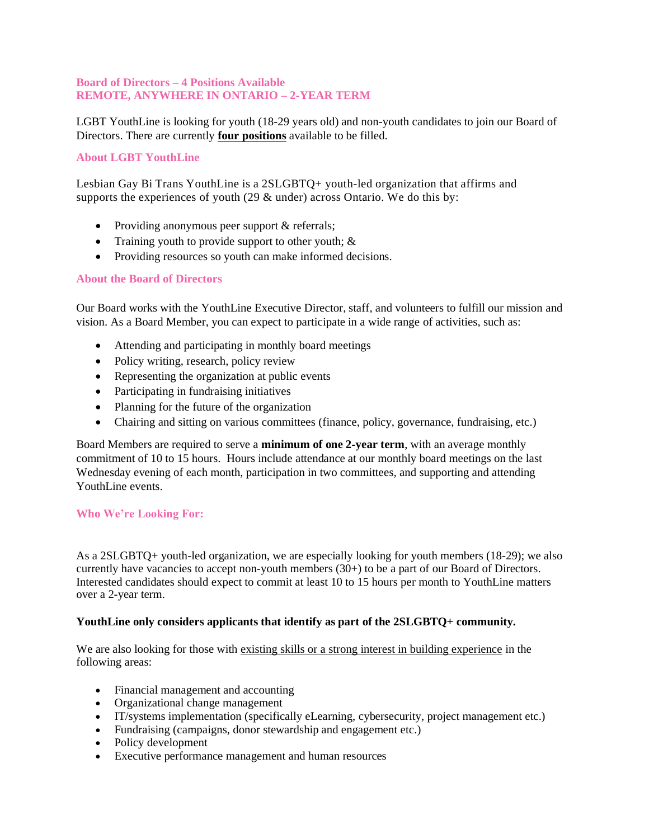### **Board of Directors – 4 Positions Available REMOTE, ANYWHERE IN ONTARIO – 2-YEAR TERM**

LGBT YouthLine is looking for youth (18-29 years old) and non-youth candidates to join our Board of Directors. There are currently **four positions** available to be filled.

## **About LGBT YouthLine**

Lesbian Gay Bi Trans YouthLine is a 2SLGBTQ+ youth-led organization that affirms and supports the experiences of youth (29 & under) across Ontario. We do this by:

- Providing anonymous peer support & referrals;
- Training youth to provide support to other youth; &
- Providing resources so youth can make informed decisions.

### **About the Board of Directors**

Our Board works with the YouthLine Executive Director, staff, and volunteers to fulfill our mission and vision. As a Board Member, you can expect to participate in a wide range of activities, such as:

- Attending and participating in monthly board meetings
- Policy writing, research, policy review
- Representing the organization at public events
- Participating in fundraising initiatives
- Planning for the future of the organization
- Chairing and sitting on various committees (finance, policy, governance, fundraising, etc.)

Board Members are required to serve a **minimum of one 2-year term**, with an average monthly commitment of 10 to 15 hours. Hours include attendance at our monthly board meetings on the last Wednesday evening of each month, participation in two committees, and supporting and attending YouthLine events.

### **Who We're Looking For:**

As a 2SLGBTQ+ youth-led organization, we are especially looking for youth members (18-29); we also currently have vacancies to accept non-youth members (30+) to be a part of our Board of Directors. Interested candidates should expect to commit at least 10 to 15 hours per month to YouthLine matters over a 2-year term.

### **YouthLine only considers applicants that identify as part of the 2SLGBTQ+ community.**

We are also looking for those with existing skills or a strong interest in building experience in the following areas:

- Financial management and accounting
- Organizational change management
- IT/systems implementation (specifically eLearning, cybersecurity, project management etc.)
- Fundraising (campaigns, donor stewardship and engagement etc.)
- Policy development
- Executive performance management and human resources